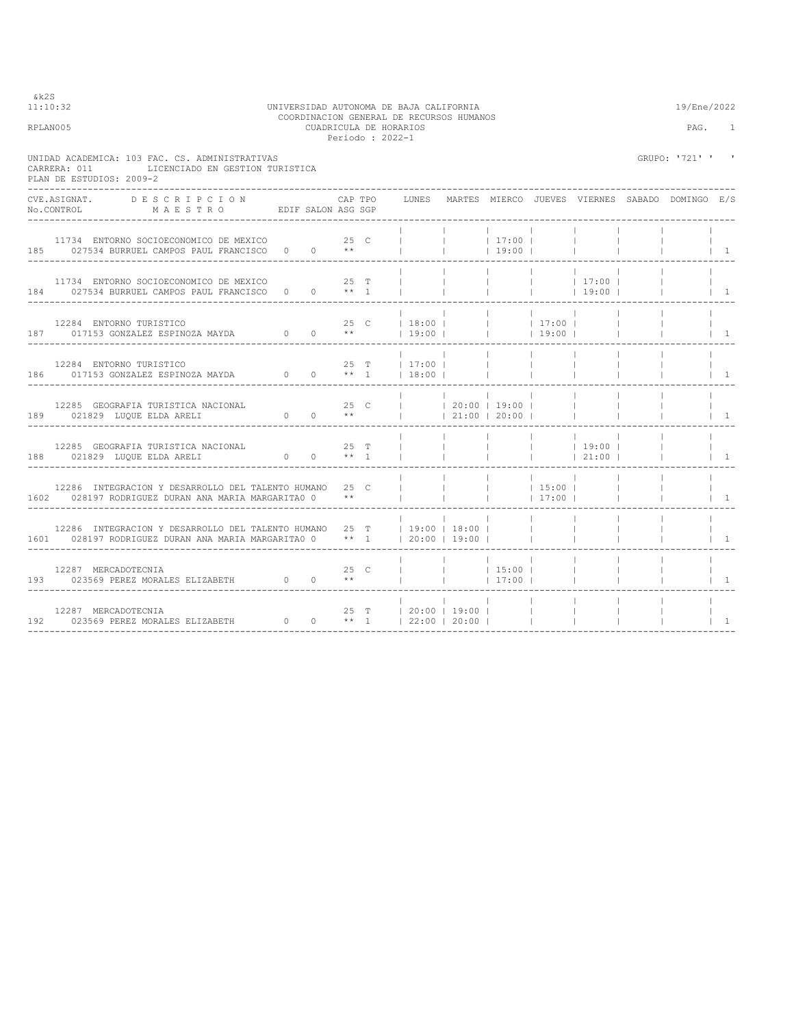$11:10:32$ 

## 11:10:32 UNIVERSIDAD AUTONOMA DE BAJA CALIFORNIA 19/Ene/2022 COORDINACION GENERAL DE RECURSOS HUMANOS COORDINACION GENERAL DE RECURSOS HUMANOS RELATIVE CUADRICULA DE HORARIOS DE HORARIOS PAG. 1 Periodo : 2022-1

UNIDAD ACADEMICA: 103 FAC. CS. ADMINISTRATIVAS GRUPO: '721' ' '

| CARRERA: 011               | LICENCIADO EN GESTION TURISTICA<br>PLAN DE ESTUDIOS: 2009-2                                                                                                                                                                                                                                    |  |                                           |                                                                                        |      |                              |                          |                                        |                                      |                     |                                                 |                                 |
|----------------------------|------------------------------------------------------------------------------------------------------------------------------------------------------------------------------------------------------------------------------------------------------------------------------------------------|--|-------------------------------------------|----------------------------------------------------------------------------------------|------|------------------------------|--------------------------|----------------------------------------|--------------------------------------|---------------------|-------------------------------------------------|---------------------------------|
| CVE.ASIGNAT.<br>No.CONTROL | DESCRIPCION<br>M A E S T R O EDIF SALON ASG SGP                                                                                                                                                                                                                                                |  |                                           | CAP TPO                                                                                |      | LUNES                        |                          |                                        |                                      |                     | MARTES MIERCO JUEVES VIERNES SABADO DOMINGO E/S |                                 |
|                            | 11734 ENTORNO SOCIOECONOMICO DE MEXICO 600 25 C<br>185 027534 BURRUEL CAMPOS PAUL FRANCISCO 0 0 **                                                                                                                                                                                             |  |                                           |                                                                                        |      |                              | <b>Contract Contract</b> | 17:00 <br> 19:00                       |                                      |                     |                                                 | $\overline{1}$                  |
|                            | 11734 ENTORNO SOCIOECONOMICO DE MEXICO 600 000 25 T<br>184 027534 BURRUEL CAMPOS PAUL FRANCISCO 0 0 ** 1                                                                                                                                                                                       |  |                                           |                                                                                        |      | and the contract of the con- |                          | <b>Contract Contract</b>               |                                      | $ $ 17:00           |                                                 | $\overline{1}$                  |
|                            | 12284 ENTORNO TURISTICO<br>187 017153 GONZALEZ ESPINOZA MAYDA 0 0                                                                                                                                                                                                                              |  |                                           | $\star$ $\star$                                                                        | 25 C | 18:00 <br>$19:00$ $\pm$      |                          | $\sim$ 1.000 $\sim$<br><b>Contract</b> | $ $ 17:00  <br>$19:00$               |                     |                                                 | $\vert$ 1                       |
|                            | $12284 \quad \texttt{ENTORMO TURISTICO} \qquad \qquad 25 \quad \texttt{T} \qquad \qquad 17:00 \mid \\ 186 \qquad \qquad 017153 \quad \texttt{GONZALEZ} \quad \texttt{ESPINOZA} \quad \texttt{MAYDA} \qquad \qquad 0 \qquad \qquad 0 \qquad \qquad ** \quad 1 \qquad \qquad \mid 18:00 \mid \\$ |  |                                           |                                                                                        |      |                              |                          | <b>Contract</b>                        | <b>Contract</b>                      |                     |                                                 | $\overline{1}$                  |
|                            | 12285 GEOGRAFIA TURISTICA NACIONAL<br>189 021829 LUQUE ELDA ARELI<br>_________________________________                                                                                                                                                                                         |  | 25 <sub>c</sub><br>$0 \qquad 0 \qquad **$ |                                                                                        |      | $ $ $ $ 20:00 $ $ 19:00 $ $  |                          | 21:00 20:00                            |                                      |                     |                                                 | $\begin{array}{cc} \end{array}$ |
|                            | 12285 GEOGRAFIA TURISTICA NACIONAL<br>188 021829 LUQUE ELDA ARELI<br>----------------------------------                                                                                                                                                                                        |  | $0 \t 0 \t \star \star \t 1$              |                                                                                        | 25 T |                              |                          | <b>Contract Contract</b>               |                                      | $\frac{1}{1}$ 19:00 |                                                 | $\overline{1}$                  |
|                            | 12286 INTEGRACION Y DESARROLLO DEL TALENTO HUMANO 25 C<br>1602 028197 RODRIGUEZ DURAN ANA MARIA MARGARITA0 0                                                                                                                                                                                   |  |                                           | $***$                                                                                  |      |                              |                          |                                        | $\sim$ 1.00<br>$ $ 15:00  <br> 17:00 |                     |                                                 | $\overline{1}$                  |
|                            | 12286 INTEGRACION Y DESARROLLO DEL TALENTO HUMANO 25 T   19:00   18:00  <br>1601 028197 RODRIGUEZ DURAN ANA MARIA MARGARITA0 0 ** 1   20:00   19:00                                                                                                                                            |  |                                           |                                                                                        |      |                              | and the contract         |                                        | <b>Contract Contract</b>             |                     |                                                 | $\overline{1}$                  |
|                            | $12287\quad\texttt{MERCADOTECNIA}\n193\qquad\qquad 023569\quad\texttt{PEREZ MORALES}\quad\texttt{ELIZABETH}\n\qquad \qquad 0\qquad\qquad 0$                                                                                                                                                    |  |                                           | 25 C<br>$\mathcal{R} \times \mathcal{R}$ . The set of $\mathcal{R} \times \mathcal{R}$ |      |                              |                          |                                        |                                      |                     |                                                 | $\overline{1}$                  |
|                            | 12287 MERCADOTECNIA<br>192 023569 PEREZ MORALES ELIZABETH 0 0 ** 1   22:00   20:00                                                                                                                                                                                                             |  |                                           |                                                                                        |      | 25 T   20:00   19:00         |                          | $\sim$ 10                              |                                      |                     |                                                 | $\overline{1}$                  |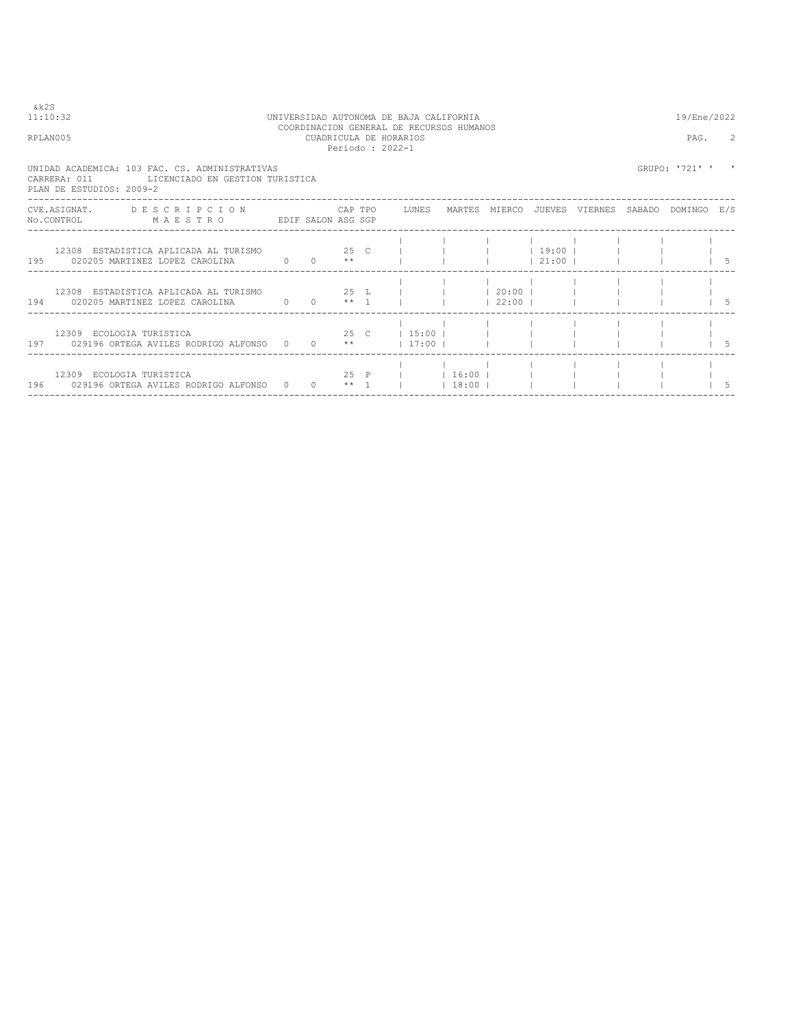$&k2S$ <br>11:10:32

## 11:10:32 UNIVERSIDAD AUTONOMA DE BAJA CALIFORNIA 19/Ene/2022 COORDINACION GENERAL DE RECURSOS HUMANOS RPLAN005 CUADRICULA DE HORARIOS PAG. 2 Periodo : 2022-1

UNIDAD ACADEMICA: 103 FAC. CS. ADMINISTRATIVAS<br>CARRERA: 011 LICENCIADO EN GESTION TURISTICA<br>PLAN DE ESTUDIOS: 2009-2

|     | CVE.ASIGNAT.<br>No.CONTROL | DESCRIPCION<br>MAESTRO<br>EDIF SALON ASG SGP                            |              |                 | CAP TPO         |      | LUNES                    | MARTES           | MIERCO           | JUEVES           | VIERNES | SABADO | DOMINGO | E/S |
|-----|----------------------------|-------------------------------------------------------------------------|--------------|-----------------|-----------------|------|--------------------------|------------------|------------------|------------------|---------|--------|---------|-----|
| 195 |                            | 12308 ESTADISTICA APLICADA AL TURISMO<br>020205 MARTINEZ LOPEZ CAROLINA | $0 \qquad 0$ | 25 C            | $* *$           |      |                          |                  |                  | 19:00<br>21:00 1 |         |        |         |     |
| 194 |                            | 12308 ESTADISTICA APLICADA AL TURISMO<br>020205 MARTINEZ LOPEZ CAROLINA | $0 \qquad 0$ |                 | $*** - 1$       | 25 L |                          |                  | 20:00 <br> 22:00 |                  |         |        |         |     |
| 197 |                            | 12309 ECOLOGIA TURISTICA<br>029196 ORTEGA AVILES RODRIGO ALFONSO 0 0    |              | 25 <sub>C</sub> | $\star \star$   |      | $1\,5:00$ 1<br>$17:00$ 1 |                  |                  |                  |         |        |         |     |
| 196 |                            | 12309 ECOLOGIA TURISTICA<br>029196 ORTEGA AVILES RODRIGO ALFONSO 0      |              | $\Omega$        | 25 P<br>$***$ 1 |      |                          | 16:00  <br>18:00 |                  |                  |         |        |         |     |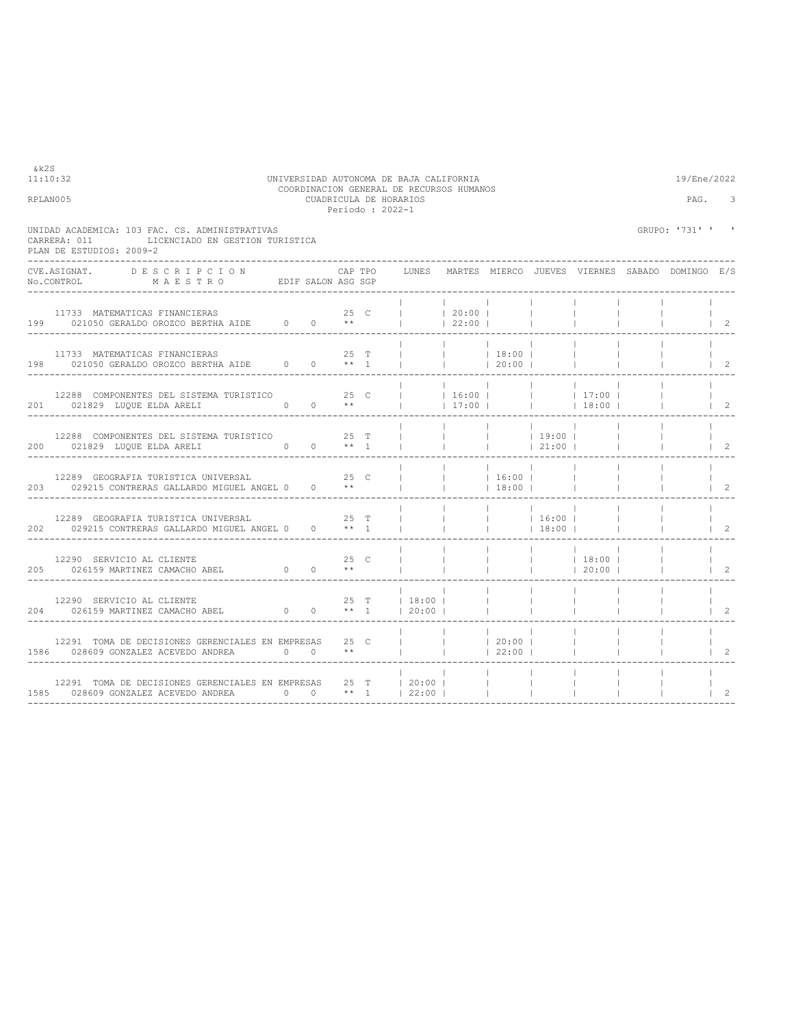| 11:10:32<br>RPLAN005 |                                                                                                                                                                                             |                            |      |         | UNIVERSIDAD AUTONOMA DE BAJA CALIFORNIA<br>COORDINACION GENERAL DE RECURSOS HUMANOS<br>CUADRICULA DE HORARIOS<br>Periodo: 2022-1 |                  |                                    |                                   |                                                                                 |                          | 19/Ene/2022<br>PAG. | 3                                    |
|----------------------|---------------------------------------------------------------------------------------------------------------------------------------------------------------------------------------------|----------------------------|------|---------|----------------------------------------------------------------------------------------------------------------------------------|------------------|------------------------------------|-----------------------------------|---------------------------------------------------------------------------------|--------------------------|---------------------|--------------------------------------|
|                      | UNIDAD ACADEMICA: 103 FAC. CS. ADMINISTRATIVAS<br>LICENCIADO EN GESTION TURISTICA<br>CARRERA: 011<br>PLAN DE ESTUDIOS: 2009-2                                                               |                            |      |         |                                                                                                                                  |                  |                                    |                                   |                                                                                 |                          | GRUPO: '731' '      | $\,$ I                               |
|                      | CVE.ASIGNAT. DESCRIPCION                                                                                                                                                                    |                            |      | CAP TPO | LUNES MARTES MIERCO JUEVES VIERNES SABADO DOMINGO E/S                                                                            |                  |                                    |                                   |                                                                                 |                          |                     |                                      |
|                      | 11733 MATEMATICAS FINANCIERAS<br>199 021050 GERALDO OROZCO BERTHA AIDE 0 0 **                                                                                                               |                            | 25 C |         | $\begin{array}{ccc} & &   & 20:00 \\ \end{array}$                                                                                | 22:00            |                                    |                                   |                                                                                 |                          |                     | $\begin{array}{ccc} & 2 \end{array}$ |
|                      | 11733 MATEMATICAS FINANCIERAS<br>198 021050 GERALDO OROZCO BERTHA AIDE 0 0 ** 1                                                                                                             |                            | 25 T |         | $\begin{array}{cccccccc}   &   &   &   & 18:00 &   \\   &   &   &   & 20:00 &   \\ \end{array}$                                  | and the property |                                    |                                   |                                                                                 |                          |                     | $\vert$ 2                            |
|                      | 12288 COMPONENTES DEL SISTEMA TURISTICO<br>25 C     16:00       17:00       17:00  <br>201 021829 LUQUE ELDA ARELI 0 0 **     17:00       18:00  <br>______________________________________ |                            |      |         |                                                                                                                                  |                  |                                    |                                   |                                                                                 |                          |                     | $1\quad 2$                           |
|                      | 200 021829 LUQUE ELDA ARELI 0 0 $**$ 1                                                                                                                                                      |                            |      |         |                                                                                                                                  |                  |                                    |                                   |                                                                                 | <b>Contract Contract</b> |                     | $1 \quad 2$                          |
|                      | 12289 GEOGRAFIA TURISTICA UNIVERSAL 25 C<br>203 029215 CONTRERAS GALLARDO MIGUEL ANGEL 0 0 **                                                                                               |                            |      |         |                                                                                                                                  |                  | 16:00  <br> 18:00                  |                                   |                                                                                 |                          |                     | 2                                    |
|                      | 12289 GEOGRAFIA TURISTICA UNIVERSAL<br>202 029215 CONTRERAS GALLARDO MIGUEL ANGEL 0 0 ** 1                                                                                                  | 25 T                       |      |         | $\sim 1$ , $\sim 100$ , $\sim 100$                                                                                               |                  | $ $ 16:00  <br><b>College</b>      | $18:00$                           |                                                                                 | $\Box$                   |                     | $1\quad 2$                           |
|                      | $\begin{tabular}{lllllllllll} & 12290 & SERVICIO AL CLIENTE & & & & 25 & C \\ & 026159 MARTINEZ CAMACHO ABEL & 0 & 0 & ** \end{tabular}$                                                    |                            |      |         | <b>Contract Contract</b>                                                                                                         | $\mathbf{1}$     | $\sim 1$ .<br>$\mathbf{L}$         |                                   | $\begin{array}{ccccccc}   & &   & 18:00 &   \\   & &   & 20:00 &   \end{array}$ |                          |                     |                                      |
|                      |                                                                                                                                                                                             |                            |      |         |                                                                                                                                  |                  |                                    | <b>Contract</b><br>$\blacksquare$ | <b>College</b>                                                                  |                          |                     | $1 \t2$                              |
|                      | 12291 TOMA DE DECISIONES GERENCIALES EN EMPRESAS 25 C<br>1586 028609 GONZALEZ ACEVEDO ANDREA 0 0 **                                                                                         | __________________________ |      |         | $\mathbf{1}$                                                                                                                     |                  | $ $ 20:00  <br>$ $ 22:00           |                                   | <b>College</b>                                                                  |                          |                     | $\overline{2}$                       |
|                      | 12291 TOMA DE DECISIONES GERENCIALES EN EMPRESAS 25 T   20:00  <br>1585 028609 GONZALEZ ACEVEDO ANDREA $0$ 0 ** 1   22:00                                                                   |                            |      |         |                                                                                                                                  |                  | <b>Contract</b><br><b>Contract</b> |                                   |                                                                                 |                          |                     | 2                                    |

 $k2S$ <br>11:10:32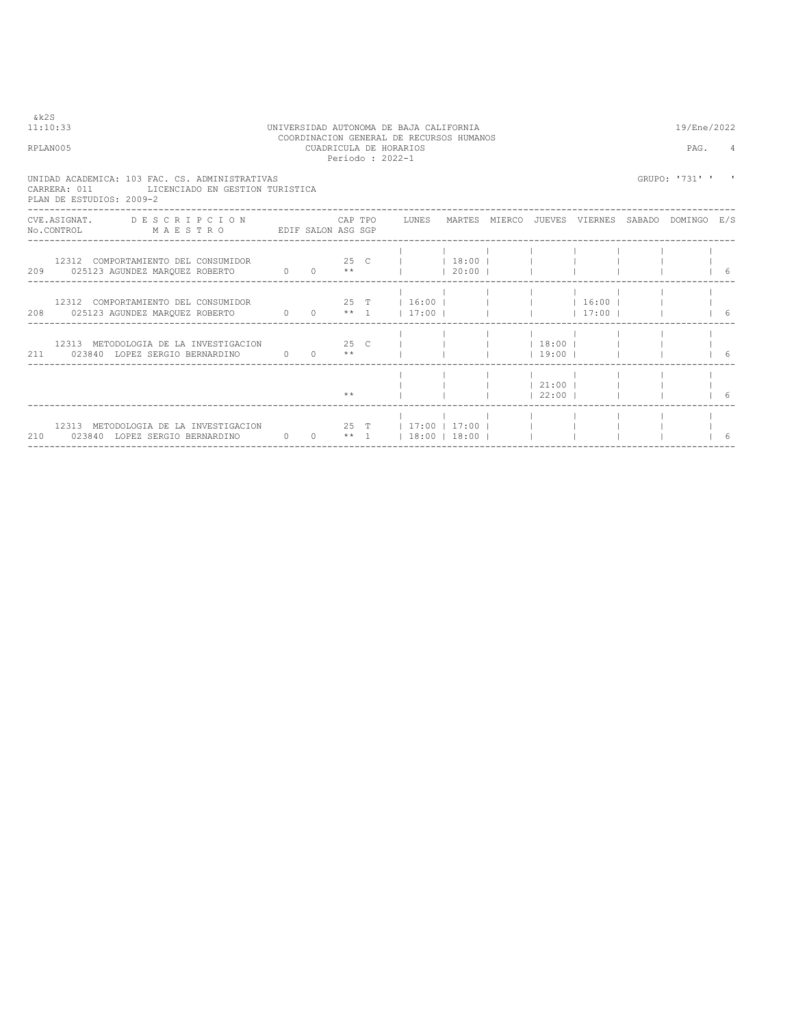| RPLAN005                 |                                                                                                                                                                                                                                                                                                                                                                                                                                                                                                                 |          |                     |       | COORDINACION GENERAL DE RECURSOS HUMANOS<br>CUADRICULA DE HORARIOS<br>Periodo: 2022-1                     |            |            |               | PAG.           |     |
|--------------------------|-----------------------------------------------------------------------------------------------------------------------------------------------------------------------------------------------------------------------------------------------------------------------------------------------------------------------------------------------------------------------------------------------------------------------------------------------------------------------------------------------------------------|----------|---------------------|-------|-----------------------------------------------------------------------------------------------------------|------------|------------|---------------|----------------|-----|
| PLAN DE ESTUDIOS: 2009-2 | UNIDAD ACADEMICA: 103 FAC. CS. ADMINISTRATIVAS<br>CARRERA: 011 LICENCIADO EN GESTION TURISTICA                                                                                                                                                                                                                                                                                                                                                                                                                  |          |                     |       |                                                                                                           |            |            |               | GRUPO: '731' ' |     |
|                          | CVE.ASIGNAT. DESCRIPCION CAPTPO LUNES MARTES MIERCO JUEVES VIERNES SABADO DOMINGO E/S<br>$\verb No.CONTROL  \qquad \qquad \verb M A E S T R O  \qquad \qquad \verb EDIF SALON ASG SGP  \qquad \qquad \verb N.751762  \qquad \qquad \verb M A E S T R O  \qquad \qquad \verb EDIF SALON ASG SGP  \qquad \qquad \verb N.751762  \qquad \qquad \verb N.751762  \qquad \qquad \verb N.751762  \qquad \qquad \verb N.751762  \qquad \qquad \verb N.751762  \qquad \qquad \verb N.751762  \qquad \qquad \verb N.7517$ |          |                     |       |                                                                                                           |            |            |               |                |     |
|                          | 12312 COMPORTAMIENTO DEL CONSUMIDOR 125 C     18:00  <br>209 025123 AGUNDEZ MARQUEZ ROBERTO 0 0 **                                                                                                                                                                                                                                                                                                                                                                                                              |          |                     |       |                                                                                                           | $120:00$ 1 |            |               |                | - 6 |
|                          | 12312 COMPORTAMIENTO DEL CONSUMIDOR $25$ T   16:00           16:00                                                                                                                                                                                                                                                                                                                                                                                                                                              |          |                     |       |                                                                                                           |            |            | $17:00$ 1     |                | 6   |
|                          | 211 023840 LOPEZ SERGIO BERNARDINO                                                                                                                                                                                                                                                                                                                                                                                                                                                                              | $\sim$ 0 |                     |       | $0 \longrightarrow$ $\longrightarrow$ $\longleftarrow$ $\longleftarrow$ $\longleftarrow$ $\longleftarrow$ |            |            | $1\,3:00$ $1$ |                | 16  |
|                          |                                                                                                                                                                                                                                                                                                                                                                                                                                                                                                                 |          |                     | $* *$ |                                                                                                           |            | $122:00$ 1 | $121:00$ $1$  |                |     |
|                          | 12313 METODOLOGIA DE LA INVESTIGACION 25 T   17:00   17:00  <br>210 023840 LOPEZ SERGIO BERNARDINO                                                                                                                                                                                                                                                                                                                                                                                                              |          | $0 \t 0 \t \star 1$ |       | $18:00$ $18:00$ $1$                                                                                       |            |            |               |                |     |

## 11:10:33 UNIVERSIDAD AUTONOMA DE BAJA CALIFORNIA 19/Ene/2022

 $& k2S$ <br>11:10:33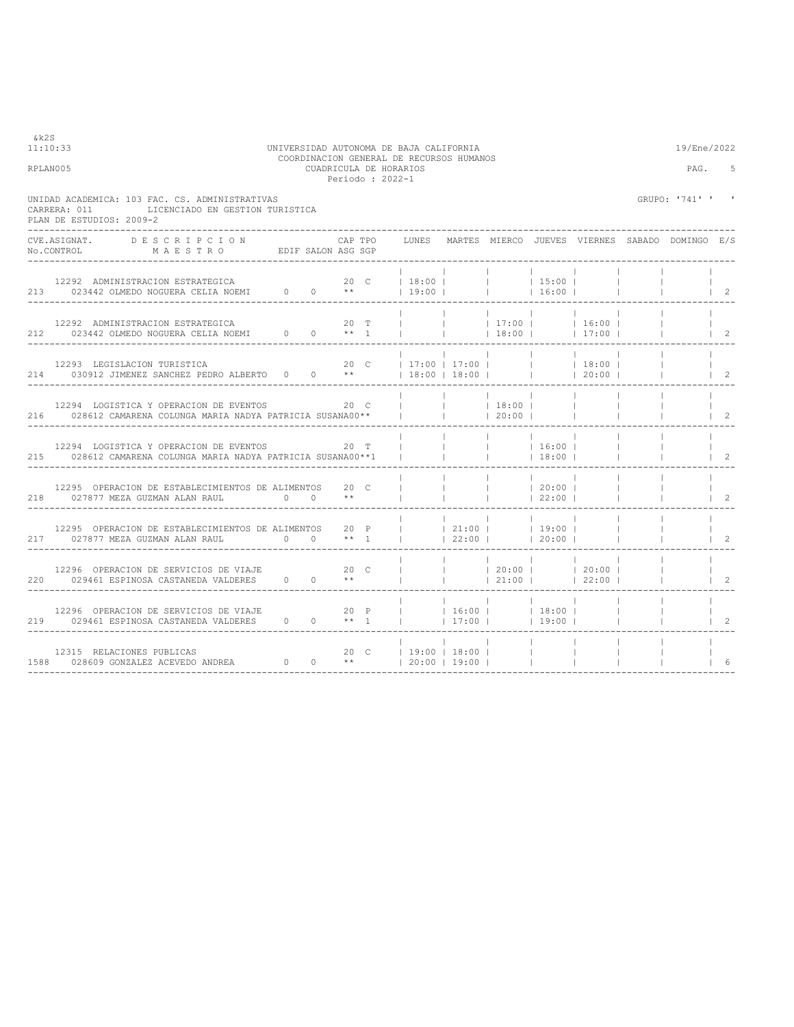| 11:10:33<br>RPLAN005                                                                                                                                              |  |         | UNIVERSIDAD AUTONOMA DE BAJA CALIFORNIA<br>COORDINACION GENERAL DE RECURSOS HUMANOS<br>CUADRICULA DE HORARIOS<br>Periodo: 2022-1 |                                 |           |                                                      |                 |                 | 19/Ene/2022<br>PAG.                                   | 5                                    |
|-------------------------------------------------------------------------------------------------------------------------------------------------------------------|--|---------|----------------------------------------------------------------------------------------------------------------------------------|---------------------------------|-----------|------------------------------------------------------|-----------------|-----------------|-------------------------------------------------------|--------------------------------------|
| UNIDAD ACADEMICA: 103 FAC. CS. ADMINISTRATIVAS<br>LICENCIADO EN GESTION TURISTICA<br>CARRERA: 011<br>PLAN DE ESTUDIOS: 2009-2<br>______________________           |  |         |                                                                                                                                  |                                 |           |                                                      |                 |                 | GRUPO: '741' '                                        |                                      |
| CVE.ASIGNAT. DESCRIPCION<br>No.CONTROL MAESTRO EDIF SALON ASG SGP                                                                                                 |  | CAP TPO |                                                                                                                                  |                                 |           |                                                      |                 |                 | LUNES MARTES MIERCO JUEVES VIERNES SABADO DOMINGO E/S |                                      |
|                                                                                                                                                                   |  |         |                                                                                                                                  | the contract of the contract of |           | and the control                                      |                 |                 |                                                       | $\vert$ 2                            |
|                                                                                                                                                                   |  |         |                                                                                                                                  |                                 |           |                                                      |                 |                 |                                                       | $\begin{array}{ccc} & 2 \end{array}$ |
| 12293 LEGISLACION TURISTICA<br>214 030912 JIMENEZ SANCHEZ PEDRO ALBERTO 0 0 **   18:00   18:00         20:00                                                      |  |         |                                                                                                                                  |                                 |           |                                                      |                 |                 |                                                       | $1\quad 2$                           |
| 12294 LOGISTICA Y OPERACION DE EVENTOS 20 C<br>216 028612 CAMARENA COLUNGA MARIA NADYA PATRICIA SUSANA00**       20:00                                            |  |         | <b>College</b>                                                                                                                   | $ $ 18:00                       |           |                                                      | <b>Contract</b> |                 | $\Box$                                                | $1 \quad 2$                          |
| 12294 LOGISTICA Y OPERACION DE EVENTOS 20 T<br>215 028612 CAMARENA COLUNGA MARIA NADYA PATRICIA SUSANA00 ** 1                                                     |  |         |                                                                                                                                  | $\sim 1$ and $\sim$             | 16:00     | 18:00                                                |                 |                 |                                                       | $\overline{c}$                       |
| 12295 OPERACION DE ESTABLECIMIENTOS DE ALIMENTOS 20 C<br>218 027877 MEZA GUZMAN ALAN RAUL 0 0 **                                                                  |  |         | $\mathbf{1}$ and $\mathbf{1}$ and $\mathbf{1}$                                                                                   |                                 | $ $ 20:00 | 22:00                                                |                 |                 |                                                       | $1 \quad 2$                          |
|                                                                                                                                                                   |  |         |                                                                                                                                  |                                 |           |                                                      |                 |                 |                                                       |                                      |
| 12296 OPERACION DE SERVICIOS DE VIAJE 600 000 C<br>220 029461 ESPINOSA CASTANEDA VALDERES 0 0 **                                                                  |  |         |                                                                                                                                  |                                 |           |                                                      |                 |                 |                                                       | $1 \quad 2$                          |
| 12296 OPERACION DE SERVICIOS DE VIAJE $20$ P     16:00     18:00  <br>219 029461 ESPINOSA CASTANEDA VALDERES 0 0 ** 1     17:00     19:00  <br>__________________ |  |         |                                                                                                                                  |                                 |           |                                                      |                 | <b>Contract</b> |                                                       | $1 \quad 2$                          |
|                                                                                                                                                                   |  |         |                                                                                                                                  |                                 |           | <b>Contract Contract</b><br><b>Contract Contract</b> |                 |                 |                                                       | 6                                    |

&k2S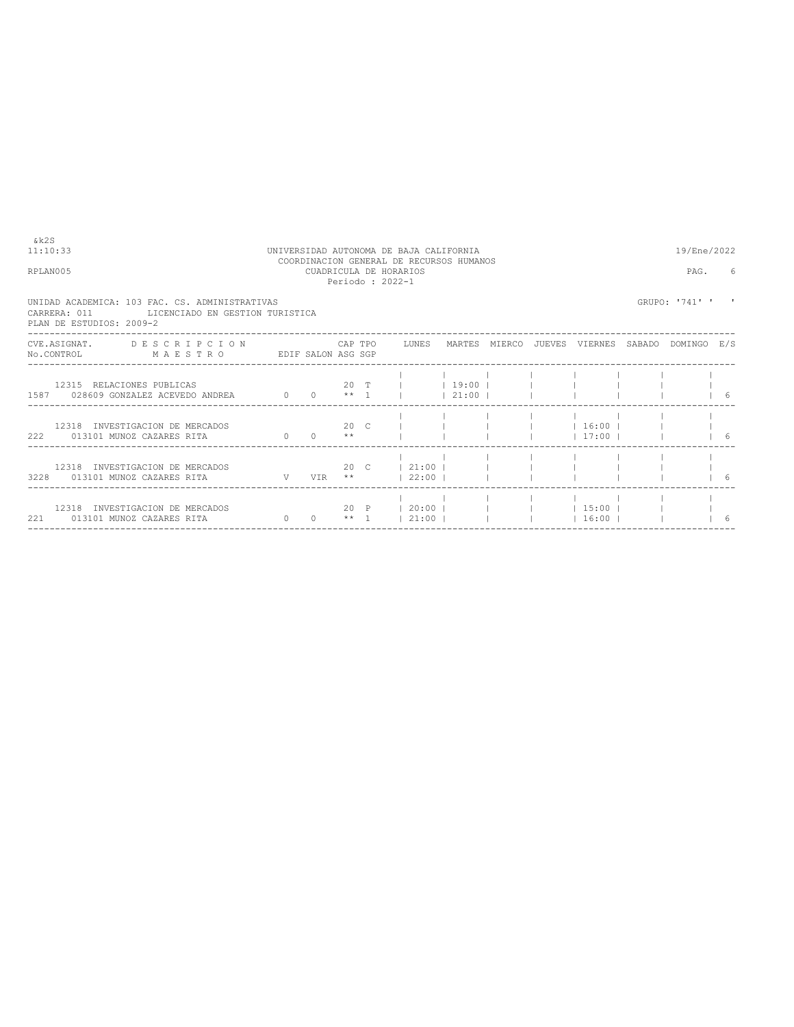| & k 2 S<br>11:10:33<br>RPLAN005                                                                                                |          |                       |              | UNIVERSIDAD AUTONOMA DE BAJA CALIFORNIA<br>COORDINACION GENERAL DE RECURSOS HUMANOS<br>CUADRICULA DE HORARIOS<br>Periodo: 2022-1 |            |  |                              | 19/Ene/2022<br>PAG. | 6  |
|--------------------------------------------------------------------------------------------------------------------------------|----------|-----------------------|--------------|----------------------------------------------------------------------------------------------------------------------------------|------------|--|------------------------------|---------------------|----|
| UNIDAD ACADEMICA: 103 FAC. CS. ADMINISTRATIVAS<br>CARRERA: 011<br>LICENCIADO EN GESTION TURISTICA<br>PLAN DE ESTUDIOS: 2009-2  |          |                       |              |                                                                                                                                  |            |  |                              | GRUPO: '741' '      |    |
| CVE.ASIGNAT. DESCRIPCION CAPTPO LUNES MARTES MIERCO JUEVES VIERNES SABADO DOMINGO E/S<br>No.CONTROL MAESTRO EDIF SALON ASG SGP |          |                       |              |                                                                                                                                  |            |  |                              |                     |    |
| 12315 RELACIONES PUBLICAS<br>1587 028609 GONZALEZ ACEVEDO ANDREA 0 0 ** 1                                                      |          |                       |              | 20 T     19:00                                                                                                                   | $121:00$ 1 |  |                              |                     | -6 |
| 12318 INVESTIGACION DE MERCADOS<br>222 013101 MUNOZ CAZARES RITA 60                                                            |          | $0 \rightarrow \star$ | $20 \quad C$ |                                                                                                                                  |            |  | $1$ 16:00 1<br>$17:00$ $\pm$ |                     |    |
| 12318 INVESTIGACION DE MERCADOS<br>3228  013101  MUNOZ CAZARES RITA   V   VIR **     22:00                                     |          |                       |              | 20 C 1 21:00 I I I                                                                                                               |            |  |                              |                     |    |
| 12318 INVESTIGACION DE MERCADOS<br>221 013101 MUNOZ CAZARES RITA                                                               | $\sim$ 0 |                       |              | 20 P   20:00               15:00  <br>$0 \qquad$ ** 1   21:00                                                                    |            |  | 16:00                        |                     |    |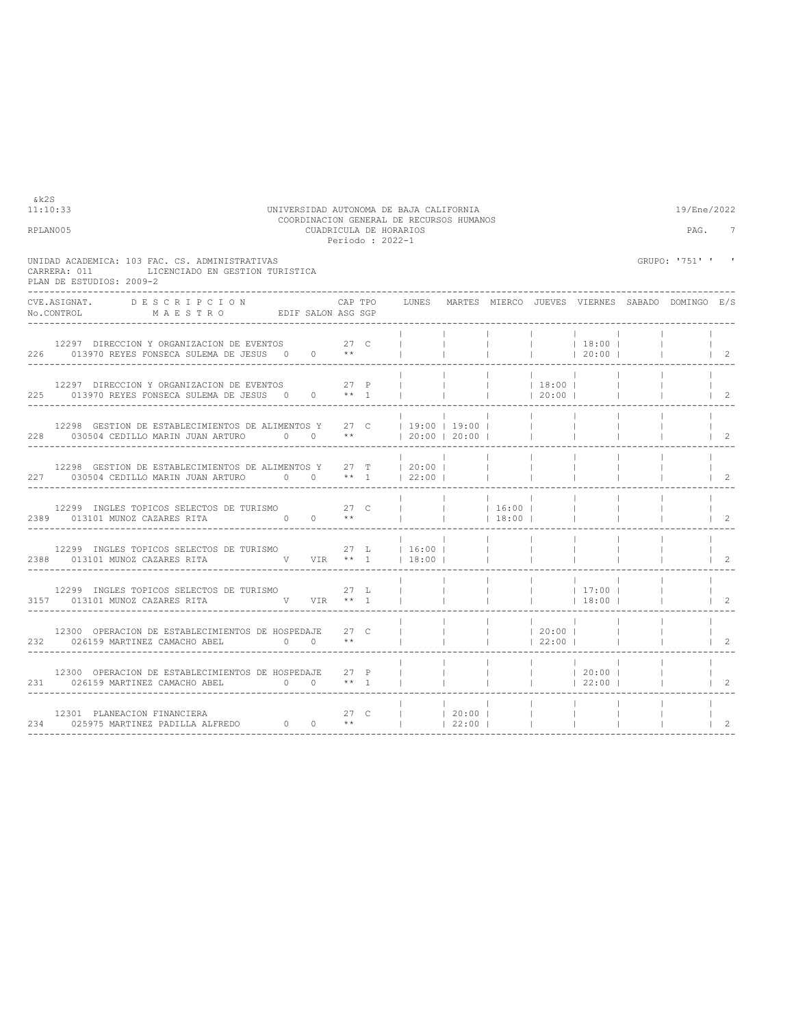|                                          |                                                                                                                                                                                                                                                               |  |              | Periodo : 2022-1 |                |              |                          |                          |                                                                                                                                                                                                                                                                                                                               |                                                       |                |
|------------------------------------------|---------------------------------------------------------------------------------------------------------------------------------------------------------------------------------------------------------------------------------------------------------------|--|--------------|------------------|----------------|--------------|--------------------------|--------------------------|-------------------------------------------------------------------------------------------------------------------------------------------------------------------------------------------------------------------------------------------------------------------------------------------------------------------------------|-------------------------------------------------------|----------------|
| CARRERA: 011<br>PLAN DE ESTUDIOS: 2009-2 | UNIDAD ACADEMICA: 103 FAC. CS. ADMINISTRATIVAS<br>LICENCIADO EN GESTION TURISTICA                                                                                                                                                                             |  |              |                  |                |              |                          |                          |                                                                                                                                                                                                                                                                                                                               | GRUPO: '751' ' '                                      |                |
|                                          | CVE.ASIGNAT. DESCRIPCION CAPTPO<br>No.CONTROL MAESTRO EDIF SALON ASG SGP                                                                                                                                                                                      |  |              | CAP TPO          |                |              |                          |                          |                                                                                                                                                                                                                                                                                                                               | LUNES MARTES MIERCO JUEVES VIERNES SABADO DOMINGO E/S |                |
|                                          | 12297 DIRECCION Y ORGANIZACION DE EVENTOS 27 C<br>226 013970 REYES FONSECA SULEMA DE JESUS 0 0 **                                                                                                                                                             |  |              |                  |                | $\mathbf{1}$ | <b>Contract Contract</b> |                          | $ $ 18:00  <br> 20:00                                                                                                                                                                                                                                                                                                         |                                                       | $\vert$ 2      |
|                                          | 12297 DIRECCION Y ORGANIZACION DE EVENTOS 27 P<br>225 013970 REYES FONSECA SULEMA DE JESUS 0 0 ** 1                                                                                                                                                           |  |              |                  |                |              | <b>Contract Contract</b> | 18:00 <br> 20:00         |                                                                                                                                                                                                                                                                                                                               |                                                       | 2              |
|                                          | 12298 GESTION DE ESTABLECIMIENTOS DE ALIMENTOS Y 27 C   19:00   19:00                                                                                                                                                                                         |  |              |                  |                |              |                          | <b>Contract Contract</b> |                                                                                                                                                                                                                                                                                                                               |                                                       | 2              |
|                                          | 12298 GESTION DE ESTABLECIMIENTOS DE ALIMENTOS Y 27 T   20:00  <br>227 030504 CEDILLO MARIN JUAN ARTURO 0 0 ** 1   22:00                                                                                                                                      |  |              |                  |                |              | <b>Contract Contract</b> | <b>Contract</b>          |                                                                                                                                                                                                                                                                                                                               |                                                       | 2              |
|                                          |                                                                                                                                                                                                                                                               |  |              |                  |                |              |                          |                          |                                                                                                                                                                                                                                                                                                                               |                                                       | $\overline{2}$ |
|                                          | 12299 INGLES TOPICOS SELECTOS DE TURISMO $27$ L $16:00$<br>2388  013101  MUNOZ CAZARES RITA   V  VIR ** 1    18:00                                                                                                                                            |  |              |                  |                |              | <b>Contract Contract</b> |                          |                                                                                                                                                                                                                                                                                                                               |                                                       | $\overline{2}$ |
|                                          | 12299 INGLES TOPICOS SELECTOS DE TURISMO $27$ L<br>3157 013101 MUNOZ CAZARES RITA W VIR ** 1                                                                                                                                                                  |  |              |                  |                |              |                          |                          | $\frac{1}{2}$ $\frac{1}{2}$ $\frac{1}{2}$ $\frac{1}{2}$ $\frac{1}{2}$ $\frac{1}{2}$ $\frac{1}{2}$ $\frac{1}{2}$ $\frac{1}{2}$ $\frac{1}{2}$ $\frac{1}{2}$ $\frac{1}{2}$ $\frac{1}{2}$ $\frac{1}{2}$ $\frac{1}{2}$ $\frac{1}{2}$ $\frac{1}{2}$ $\frac{1}{2}$ $\frac{1}{2}$ $\frac{1}{2}$ $\frac{1}{2}$ $\frac{1}{2}$<br> 18:00 |                                                       | $\overline{2}$ |
|                                          | 12300 OPERACION DE ESTABLECIMIENTOS DE HOSPEDAJE<br>$0 \t 0 \t \star\star$<br>232 026159 MARTINEZ CAMACHO ABEL                                                                                                                                                |  | $27 \quad C$ |                  |                |              | <b>Contract Contract</b> | 20:00 <br> 22:00         |                                                                                                                                                                                                                                                                                                                               |                                                       | 2              |
|                                          | 12300 OPERACION DE ESTABLECIMIENTOS DE HOSPEDAJE<br>$0 \quad 0 \quad **$ 1<br>231 026159 MARTINEZ CAMACHO ABEL                                                                                                                                                |  | $27$ P       |                  |                |              |                          |                          | $ $ 20:00  <br> 22:00                                                                                                                                                                                                                                                                                                         |                                                       | $\mathcal{L}$  |
|                                          | $\begin{array}{cccccccccccc} 12301 & \text{PLANEACION FINANCIERA} & & & & 27 & C & &   & &   & 20:00 &   \\ 234 & & 025975 & \text{MARTINEZ PADILLA ALFREDO} & & & & 0 & & ^{**} & &   & &   & 22:00 &   \\ \end{array}$<br>--------------------------------- |  |              |                  | 27 C     20:00 |              |                          | <b>Contract Contract</b> |                                                                                                                                                                                                                                                                                                                               |                                                       | 2              |

11:10:33 UNIVERSIDAD AUTONOMA DE BAJA CALIFORNIA 19/Ene/2022 COORDINACION GENERAL DE RECURSOS HUMANOS RPLAN005 CUADRICULA DE HORARIOS PAG. 7

 $k2S$ <br>11:10:33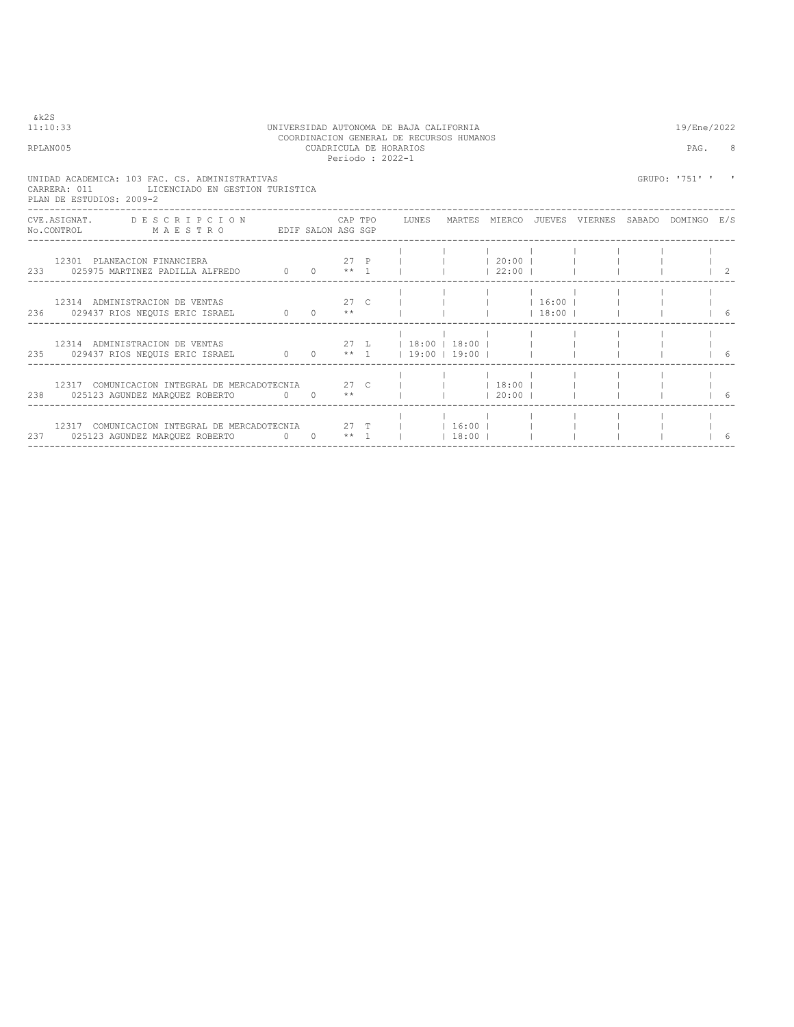| & k 2 S | 11:10:33<br>RPLAN005                                                                                                           |  |  | UNIVERSIDAD AUTONOMA DE BAJA CALIFORNIA<br>COORDINACION GENERAL DE RECURSOS HUMANOS<br>CUADRICULA DE HORARIOS<br>Periodo : 2022-1 |         |       |  | 19/Ene/2022<br>PAG. | -8 |
|---------|--------------------------------------------------------------------------------------------------------------------------------|--|--|-----------------------------------------------------------------------------------------------------------------------------------|---------|-------|--|---------------------|----|
|         | UNIDAD ACADEMICA: 103 FAC. CS. ADMINISTRATIVAS<br>CARRERA: 011 LICENCIADO EN GESTION TURISTICA<br>PLAN DE ESTUDIOS: 2009-2     |  |  |                                                                                                                                   |         |       |  | GRUPO: '751' '      |    |
|         | CVE.ASIGNAT. DESCRIPCION CAPTPO LUNES MARTES MIERCO JUEVES VIERNES SABADO DOMINGO E/S<br>NO.CONTROL MAESTRO EDIF SALON ASG SGP |  |  |                                                                                                                                   |         |       |  |                     |    |
|         | 12301 PLANEACION FINANCIERA                                                                                                    |  |  |                                                                                                                                   |         |       |  | $\frac{1}{2}$       |    |
|         |                                                                                                                                |  |  |                                                                                                                                   |         |       |  |                     |    |
|         |                                                                                                                                |  |  |                                                                                                                                   |         |       |  |                     |    |
|         | 12317 COMUNICACION INTEGRAL DE MERCADOTECNIA 27 C         18:00    <br>238 025123 AGUNDEZ MARQUEZ ROBERTO 0 0 **               |  |  |                                                                                                                                   |         | 20:00 |  |                     |    |
|         | 12317 COMUNICACION INTEGRAL DE MERCADOTECNIA 27 T     16:00                                                                    |  |  |                                                                                                                                   | $18:00$ |       |  |                     |    |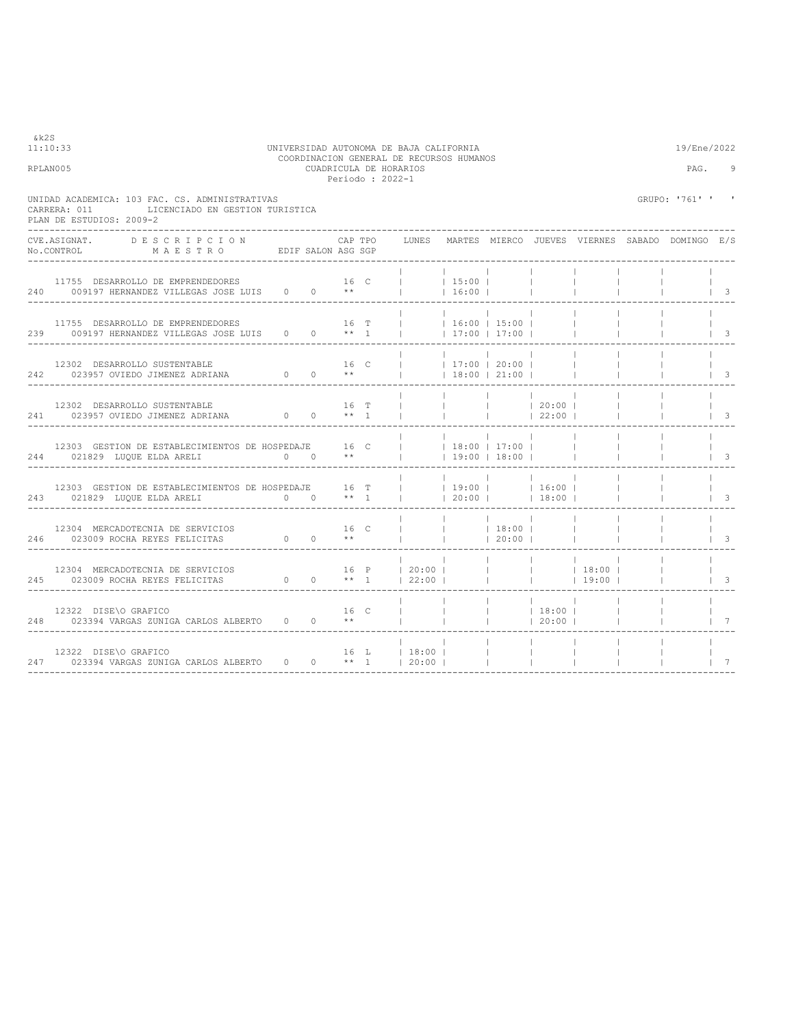| &k2S<br>11:10:33                                                                                                                                           |  |         | UNIVERSIDAD AUTONOMA DE BAJA CALIFORNIA<br>COORDINACION GENERAL DE RECURSOS HUMANOS |                              |                                                |                                  |                                    |                                            | 19/Ene/2022                                                                                                                                                                                                                                                                                                                                                                                                                                                                                              |                           |
|------------------------------------------------------------------------------------------------------------------------------------------------------------|--|---------|-------------------------------------------------------------------------------------|------------------------------|------------------------------------------------|----------------------------------|------------------------------------|--------------------------------------------|----------------------------------------------------------------------------------------------------------------------------------------------------------------------------------------------------------------------------------------------------------------------------------------------------------------------------------------------------------------------------------------------------------------------------------------------------------------------------------------------------------|---------------------------|
| RPLAN005                                                                                                                                                   |  |         | CUADRICULA DE HORARIOS<br>Periodo : 2022-1                                          |                              |                                                |                                  |                                    |                                            | PAG.                                                                                                                                                                                                                                                                                                                                                                                                                                                                                                     | 9                         |
| UNIDAD ACADEMICA: 103 FAC. CS. ADMINISTRATIVAS<br>CARRERA: 011 LICENCIADO EN GESTION TURISTICA<br>PLAN DE ESTUDIOS: 2009-2                                 |  |         |                                                                                     |                              |                                                |                                  |                                    |                                            | GRUPO: '761' ' '                                                                                                                                                                                                                                                                                                                                                                                                                                                                                         |                           |
| CVE.ASIGNAT. DESCRIPCION<br>No.CONTROL MAESTRO EDIF SALON ASG SGP                                                                                          |  | CAP TPO |                                                                                     |                              |                                                |                                  |                                    |                                            | LUNES MARTES MIERCO JUEVES VIERNES SABADO DOMINGO E/S                                                                                                                                                                                                                                                                                                                                                                                                                                                    |                           |
| 11755 DESARROLLO DE EMPRENDEDORES 16 C  <br>240 009197 HERNANDEZ VILLEGAS JOSE LUIS 0 0 **                                                                 |  |         |                                                                                     | 15:00 <br>$16:00$            |                                                |                                  | <b>Contract Contract</b>           |                                            |                                                                                                                                                                                                                                                                                                                                                                                                                                                                                                          | $\vert$ 3                 |
| $11755$ DESARROLLO DE EMPRENDEDORES $16$ T     16:00   15:00  <br>239 009197 HERNANDEZ VILLEGAS JOSE LUIS 0 0 ** 1  <br>__________________________________ |  |         |                                                                                     |                              | $\vert$ 17:00 $\vert$ 17:00 $\vert$            |                                  | <b>College</b>                     | <b>Contract Contract</b>                   | <b>Contract Contract</b>                                                                                                                                                                                                                                                                                                                                                                                                                                                                                 | $\vert$ $\vert$ $\vert$ 3 |
| 12302 DESARROLLO SUSTENTABLE<br>242 023957 OVIEDO JIMENEZ ADRIANA $0$ 0 $**$   18:00   21:00                                                               |  |         |                                                                                     |                              |                                                |                                  | <b>Contract</b><br><b>Contract</b> | <b>College</b>                             |                                                                                                                                                                                                                                                                                                                                                                                                                                                                                                          | $\vert$ 3                 |
| 12302 DESARROLLO SUSTENTABLE<br>241 023957 OVIEDO JIMENEZ ADRIANA $0 \t 0 \t \star 1$                                                                      |  |         | $16$ T                                                                              |                              | <b>College Street</b><br> 22:00                | 20:00                            |                                    | <b>Contract</b><br><b>Contract</b>         | $\begin{array}{ccc} \end{array}$ $\begin{array}{ccc} \end{array}$ $\begin{array}{ccc} \end{array}$ $\begin{array}{ccc} \end{array}$ $\begin{array}{ccc} \end{array}$ $\begin{array}{ccc} \end{array}$ $\begin{array}{ccc} \end{array}$ $\begin{array}{ccc} \end{array}$ $\begin{array}{ccc} \end{array}$ $\begin{array}{ccc} \end{array}$ $\begin{array}{ccc} \end{array}$ $\begin{array}{ccc} \end{array}$ $\begin{array}{ccc} \end{array}$ $\begin{array}{ccc} \end{array}$ $\begin{array}{ccc} \end{$ |                           |
| 12303 GESTION DE ESTABLECIMIENTOS DE HOSPEDAJE 16 C     18:00   17:00  <br>244 021829 LUQUE ELDA ARELI 0 0 **<br>-------------------------------           |  |         |                                                                                     |                              | $1$ 19:00 1 18:00 1                            |                                  |                                    |                                            |                                                                                                                                                                                                                                                                                                                                                                                                                                                                                                          | $\vert$ $\vert$ 3         |
| 12303 GESTION DE ESTABLECIMIENTOS DE HOSPEDAJE $16$ T     19:00     16:00   16:00   243 021829 LUQUE ELDA ARELI 0 0 ** 1     20:00     18:00               |  |         |                                                                                     | and the contract of the con- |                                                | <b>Contract Contract</b>         | <b>Contract Contract</b>           | <b>College</b><br><b>Contract Contract</b> | <b>Contract Contract</b>                                                                                                                                                                                                                                                                                                                                                                                                                                                                                 | $\vert$ $\vert$ 3         |
|                                                                                                                                                            |  |         |                                                                                     |                              |                                                |                                  |                                    | <b>Contract Contract</b>                   |                                                                                                                                                                                                                                                                                                                                                                                                                                                                                                          | $\vert$ 3                 |
| 12304 MERCADOTECNIA DE SERVICIOS (16 P   20:00           18:00  <br>245 023009 ROCHA REYES FELICITAS 0 0 ** 1   22:00                                      |  |         |                                                                                     |                              | $\mathbf{1}$ and $\mathbf{1}$ and $\mathbf{1}$ |                                  | $19:00$                            |                                            |                                                                                                                                                                                                                                                                                                                                                                                                                                                                                                          |                           |
|                                                                                                                                                            |  |         |                                                                                     |                              |                                                |                                  |                                    | $\sim 1$ , $\sim 1$ , $\sim$               |                                                                                                                                                                                                                                                                                                                                                                                                                                                                                                          | $1 \quad 7$               |
| 12322 DISE\O GRAFICO<br>247 023394 VARGAS ZUNIGA CARLOS ALBERTO 0 0 ** 1   20:00                                                                           |  |         | 16 L   18:00                                                                        |                              | <b>College</b><br><b>Contract Contract</b>     | <b>College</b><br><b>College</b> | <b>Contractor</b>                  | <b>College</b>                             |                                                                                                                                                                                                                                                                                                                                                                                                                                                                                                          | $\overline{7}$            |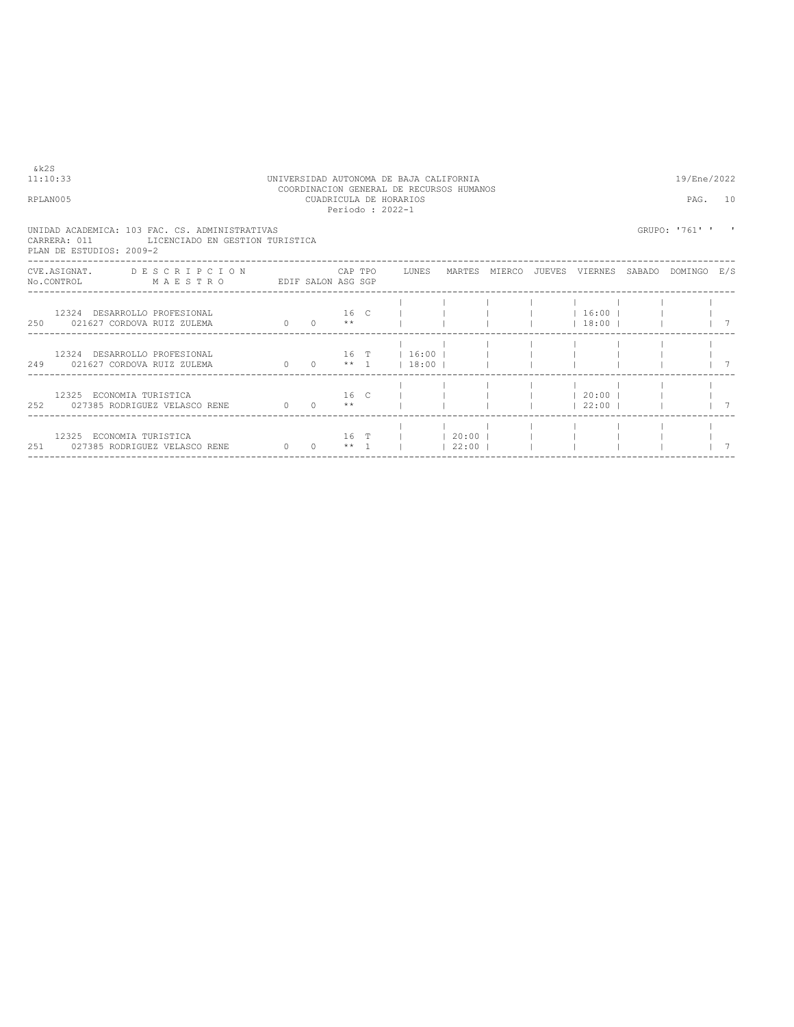| &k2S<br>11:10:33<br>RPLAN005                                                                                                   |          |                               | CUADRICULA DE HORARIOS<br>Periodo: 2022-1 | UNIVERSIDAD AUTONOMA DE BAJA CALIFORNIA<br>COORDINACION GENERAL DE RECURSOS HUMANOS |       |  |                          | 19/Ene/2022<br>PAG. 10 |  |
|--------------------------------------------------------------------------------------------------------------------------------|----------|-------------------------------|-------------------------------------------|-------------------------------------------------------------------------------------|-------|--|--------------------------|------------------------|--|
| UNIDAD ACADEMICA: 103 FAC. CS. ADMINISTRATIVAS<br>CARRERA: 011 LICENCIADO EN GESTION TURISTICA<br>PLAN DE ESTUDIOS: 2009-2     |          |                               |                                           |                                                                                     |       |  |                          | GRUPO: '761' '         |  |
| CVE.ASIGNAT. DESCRIPCION CAPTPO LUNES MARTES MIERCO JUEVES VIERNES SABADO DOMINGO E/S<br>No.CONTROL MAESTRO EDIF SALON ASG SGP |          |                               |                                           |                                                                                     |       |  |                          |                        |  |
| 12324 DESARROLLO PROFESIONAL<br>250 021627 CORDOVA RUIZ ZULEMA                                                                 | $\sim$ 0 | $0 \rightarrow \ast$          | $16$ C $\qquad$                           |                                                                                     |       |  | $16:00$  <br>$13:00$     |                        |  |
| 12324 DESARROLLO PROFESIONAL<br>249 021627 CORDOVA RUIZ ZULEMA                                                                 |          |                               |                                           | 16 T   16:00  <br>0 0 $**$ 1   18:00                                                |       |  |                          |                        |  |
| 12325 ECONOMIA TURISTICA<br>252 027385 RODRIGUEZ VELASCO RENE 60                                                               |          | 16 C<br>$0 \rightarrow \star$ |                                           |                                                                                     |       |  | $120:00$ 1<br>$122:00$ 1 |                        |  |
| 12325 ECONOMIA TURISTICA<br>251 027385 RODRIGUEZ VELASCO RENE                                                                  | $\Omega$ | 16 T<br>$0 \times 1$          |                                           | $ $ 1 20:00                                                                         | 22:00 |  |                          |                        |  |